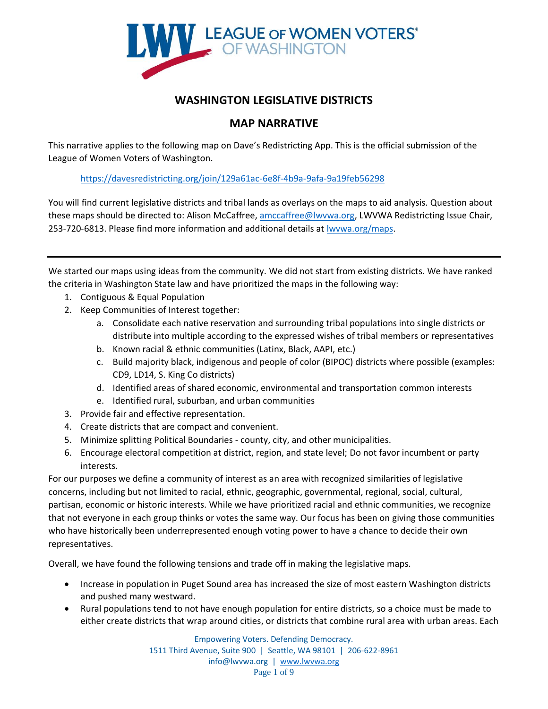

# **WASHINGTON LEGISLATIVE DISTRICTS**

# **MAP NARRATIVE**

This narrative applies to the following map on Dave's Redistricting App. This is the official submission of the League of Women Voters of Washington.

<https://davesredistricting.org/join/129a61ac-6e8f-4b9a-9afa-9a19feb56298>

You will find current legislative districts and tribal lands as overlays on the maps to aid analysis. Question about these maps should be directed to: Alison McCaffree, [amccaffree@lwvwa.org,](mailto:amccaffree@lwvwa.org) LWVWA Redistricting Issue Chair, 253-720-6813. Please find more information and additional details at [lwvwa.org/maps.](http://lwvwa.org/maps)

We started our maps using ideas from the community. We did not start from existing districts. We have ranked the criteria in Washington State law and have prioritized the maps in the following way:

- 1. Contiguous & Equal Population
- 2. Keep Communities of Interest together:
	- a. Consolidate each native reservation and surrounding tribal populations into single districts or distribute into multiple according to the expressed wishes of tribal members or representatives
	- b. Known racial & ethnic communities (Latinx, Black, AAPI, etc.)
	- c. Build majority black, indigenous and people of color (BIPOC) districts where possible (examples: CD9, LD14, S. King Co districts)
	- d. Identified areas of shared economic, environmental and transportation common interests
	- e. Identified rural, suburban, and urban communities
- 3. Provide fair and effective representation.
- 4. Create districts that are compact and convenient.
- 5. Minimize splitting Political Boundaries county, city, and other municipalities.
- 6. Encourage electoral competition at district, region, and state level; Do not favor incumbent or party interests.

For our purposes we define a community of interest as an area with recognized similarities of legislative concerns, including but not limited to racial, ethnic, geographic, governmental, regional, social, cultural, partisan, economic or historic interests. While we have prioritized racial and ethnic communities, we recognize that not everyone in each group thinks or votes the same way. Our focus has been on giving those communities who have historically been underrepresented enough voting power to have a chance to decide their own representatives.

Overall, we have found the following tensions and trade off in making the legislative maps.

- Increase in population in Puget Sound area has increased the size of most eastern Washington districts and pushed many westward.
- Rural populations tend to not have enough population for entire districts, so a choice must be made to either create districts that wrap around cities, or districts that combine rural area with urban areas. Each

Empowering Voters. Defending Democracy. 1511 Third Avenue, Suite 900 | Seattle, WA 98101 | 206-622-8961 info@lwvwa.org | [www.lwvwa.org](http://www.lwvwa.org/) Page 1 of 9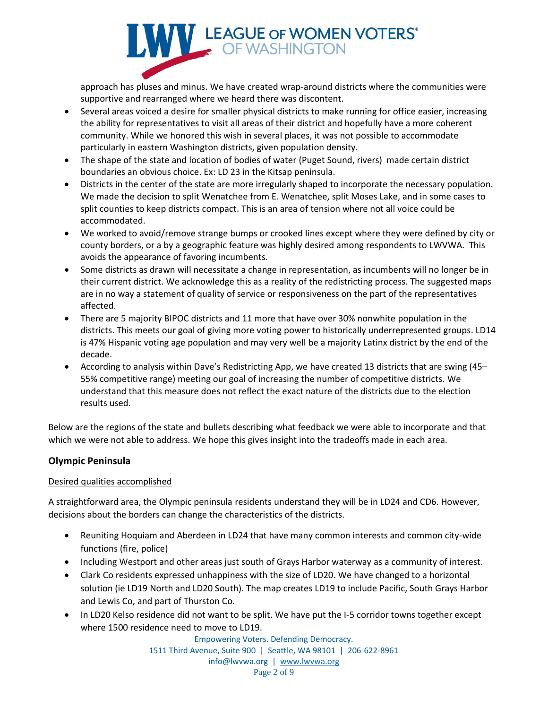

approach has pluses and minus. We have created wrap-around districts where the communities were supportive and rearranged where we heard there was discontent.

- Several areas voiced a desire for smaller physical districts to make running for office easier, increasing the ability for representatives to visit all areas of their district and hopefully have a more coherent community. While we honored this wish in several places, it was not possible to accommodate particularly in eastern Washington districts, given population density.
- The shape of the state and location of bodies of water (Puget Sound, rivers) made certain district boundaries an obvious choice. Ex: LD 23 in the Kitsap peninsula.
- Districts in the center of the state are more irregularly shaped to incorporate the necessary population. We made the decision to split Wenatchee from E. Wenatchee, split Moses Lake, and in some cases to split counties to keep districts compact. This is an area of tension where not all voice could be accommodated.
- We worked to avoid/remove strange bumps or crooked lines except where they were defined by city or county borders, or a by a geographic feature was highly desired among respondents to LWVWA. This avoids the appearance of favoring incumbents.
- Some districts as drawn will necessitate a change in representation, as incumbents will no longer be in their current district. We acknowledge this as a reality of the redistricting process. The suggested maps are in no way a statement of quality of service or responsiveness on the part of the representatives affected.
- There are 5 majority BIPOC districts and 11 more that have over 30% nonwhite population in the districts. This meets our goal of giving more voting power to historically underrepresented groups. LD14 is 47% Hispanic voting age population and may very well be a majority Latinx district by the end of the decade.
- According to analysis within Dave's Redistricting App, we have created 13 districts that are swing (45– 55% competitive range) meeting our goal of increasing the number of competitive districts. We understand that this measure does not reflect the exact nature of the districts due to the election results used.

Below are the regions of the state and bullets describing what feedback we were able to incorporate and that which we were not able to address. We hope this gives insight into the tradeoffs made in each area.

# **Olympic Peninsula**

# Desired qualities accomplished

A straightforward area, the Olympic peninsula residents understand they will be in LD24 and CD6. However, decisions about the borders can change the characteristics of the districts.

- Reuniting Hoquiam and Aberdeen in LD24 that have many common interests and common city-wide functions (fire, police)
- Including Westport and other areas just south of Grays Harbor waterway as a community of interest.
- Clark Co residents expressed unhappiness with the size of LD20. We have changed to a horizontal solution (ie LD19 North and LD20 South). The map creates LD19 to include Pacific, South Grays Harbor and Lewis Co, and part of Thurston Co.
- In LD20 Kelso residence did not want to be split. We have put the I-5 corridor towns together except where 1500 residence need to move to LD19.

Empowering Voters. Defending Democracy. 1511 Third Avenue, Suite 900 | Seattle, WA 98101 | 206-622-8961 info@lwvwa.org | [www.lwvwa.org](http://www.lwvwa.org/) Page 2 of 9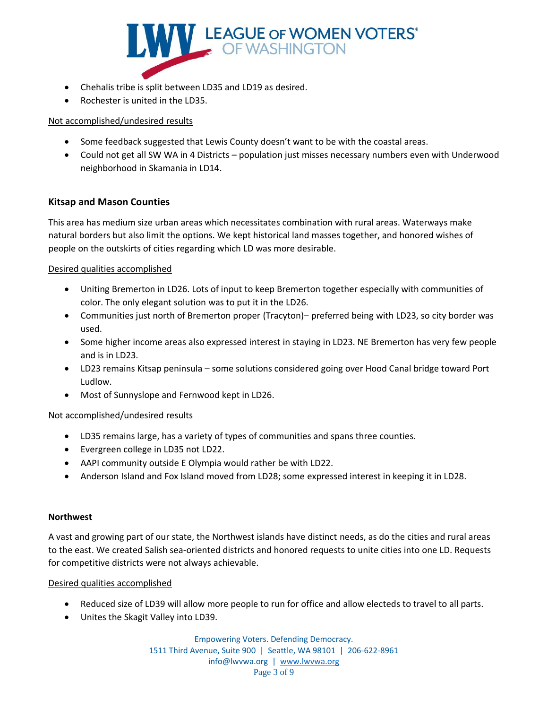

- Chehalis tribe is split between LD35 and LD19 as desired.
- Rochester is united in the LD35.

- Some feedback suggested that Lewis County doesn't want to be with the coastal areas.
- Could not get all SW WA in 4 Districts population just misses necessary numbers even with Underwood neighborhood in Skamania in LD14.

# **Kitsap and Mason Counties**

This area has medium size urban areas which necessitates combination with rural areas. Waterways make natural borders but also limit the options. We kept historical land masses together, and honored wishes of people on the outskirts of cities regarding which LD was more desirable.

## Desired qualities accomplished

- Uniting Bremerton in LD26. Lots of input to keep Bremerton together especially with communities of color. The only elegant solution was to put it in the LD26.
- Communities just north of Bremerton proper (Tracyton)– preferred being with LD23, so city border was used.
- Some higher income areas also expressed interest in staying in LD23. NE Bremerton has very few people and is in LD23.
- LD23 remains Kitsap peninsula some solutions considered going over Hood Canal bridge toward Port Ludlow.
- Most of Sunnyslope and Fernwood kept in LD26.

## Not accomplished/undesired results

- LD35 remains large, has a variety of types of communities and spans three counties.
- Evergreen college in LD35 not LD22.
- AAPI community outside E Olympia would rather be with LD22.
- Anderson Island and Fox Island moved from LD28; some expressed interest in keeping it in LD28.

## **Northwest**

A vast and growing part of our state, the Northwest islands have distinct needs, as do the cities and rural areas to the east. We created Salish sea-oriented districts and honored requests to unite cities into one LD. Requests for competitive districts were not always achievable.

## Desired qualities accomplished

- Reduced size of LD39 will allow more people to run for office and allow electeds to travel to all parts.
- Unites the Skagit Valley into LD39.

Empowering Voters. Defending Democracy. 1511 Third Avenue, Suite 900 | Seattle, WA 98101 | 206-622-8961 info@lwvwa.org | [www.lwvwa.org](http://www.lwvwa.org/) Page 3 of 9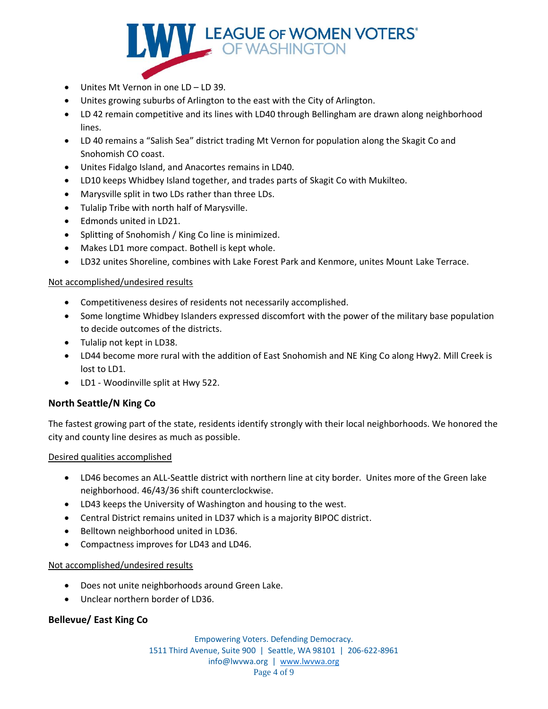

- Unites Mt Vernon in one LD LD 39.
- Unites growing suburbs of Arlington to the east with the City of Arlington.
- LD 42 remain competitive and its lines with LD40 through Bellingham are drawn along neighborhood lines.
- LD 40 remains a "Salish Sea" district trading Mt Vernon for population along the Skagit Co and Snohomish CO coast.
- Unites Fidalgo Island, and Anacortes remains in LD40.
- LD10 keeps Whidbey Island together, and trades parts of Skagit Co with Mukilteo.
- Marysville split in two LDs rather than three LDs.
- Tulalip Tribe with north half of Marysville.
- Edmonds united in LD21.
- Splitting of Snohomish / King Co line is minimized.
- Makes LD1 more compact. Bothell is kept whole.
- LD32 unites Shoreline, combines with Lake Forest Park and Kenmore, unites Mount Lake Terrace.

- Competitiveness desires of residents not necessarily accomplished.
- Some longtime Whidbey Islanders expressed discomfort with the power of the military base population to decide outcomes of the districts.
- Tulalip not kept in LD38.
- LD44 become more rural with the addition of East Snohomish and NE King Co along Hwy2. Mill Creek is lost to LD1.
- LD1 Woodinville split at Hwy 522.

# **North Seattle/N King Co**

The fastest growing part of the state, residents identify strongly with their local neighborhoods. We honored the city and county line desires as much as possible.

## Desired qualities accomplished

- LD46 becomes an ALL-Seattle district with northern line at city border. Unites more of the Green lake neighborhood. 46/43/36 shift counterclockwise.
- LD43 keeps the University of Washington and housing to the west.
- Central District remains united in LD37 which is a majority BIPOC district.
- Belltown neighborhood united in LD36.
- Compactness improves for LD43 and LD46.

# Not accomplished/undesired results

- Does not unite neighborhoods around Green Lake.
- Unclear northern border of LD36.

# **Bellevue/ East King Co**

Empowering Voters. Defending Democracy. 1511 Third Avenue, Suite 900 | Seattle, WA 98101 | 206-622-8961 info@lwvwa.org | [www.lwvwa.org](http://www.lwvwa.org/) Page 4 of 9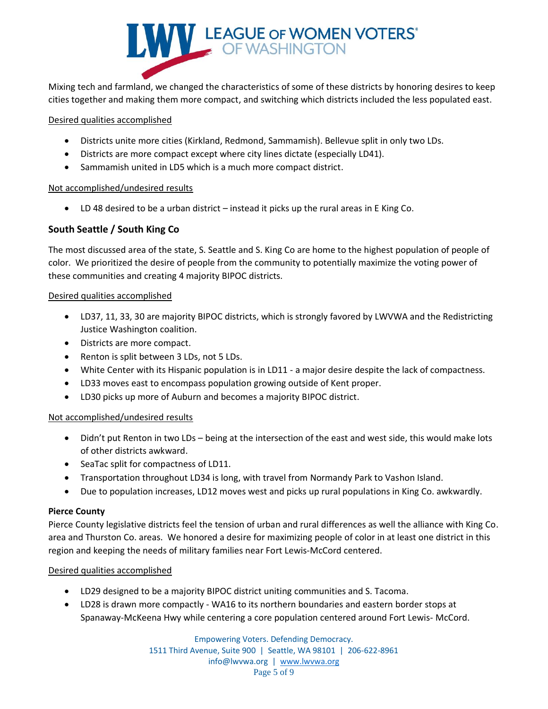

Mixing tech and farmland, we changed the characteristics of some of these districts by honoring desires to keep cities together and making them more compact, and switching which districts included the less populated east.

## Desired qualities accomplished

- Districts unite more cities (Kirkland, Redmond, Sammamish). Bellevue split in only two LDs.
- Districts are more compact except where city lines dictate (especially LD41).
- Sammamish united in LD5 which is a much more compact district.

#### Not accomplished/undesired results

• LD 48 desired to be a urban district – instead it picks up the rural areas in E King Co.

# **South Seattle / South King Co**

The most discussed area of the state, S. Seattle and S. King Co are home to the highest population of people of color. We prioritized the desire of people from the community to potentially maximize the voting power of these communities and creating 4 majority BIPOC districts.

#### Desired qualities accomplished

- LD37, 11, 33, 30 are majority BIPOC districts, which is strongly favored by LWVWA and the Redistricting Justice Washington coalition.
- Districts are more compact.
- Renton is split between 3 LDs, not 5 LDs.
- White Center with its Hispanic population is in LD11 a major desire despite the lack of compactness.
- LD33 moves east to encompass population growing outside of Kent proper.
- LD30 picks up more of Auburn and becomes a majority BIPOC district.

## Not accomplished/undesired results

- Didn't put Renton in two LDs being at the intersection of the east and west side, this would make lots of other districts awkward.
- SeaTac split for compactness of LD11.
- Transportation throughout LD34 is long, with travel from Normandy Park to Vashon Island.
- Due to population increases, LD12 moves west and picks up rural populations in King Co. awkwardly.

## **Pierce County**

Pierce County legislative districts feel the tension of urban and rural differences as well the alliance with King Co. area and Thurston Co. areas. We honored a desire for maximizing people of color in at least one district in this region and keeping the needs of military families near Fort Lewis-McCord centered.

# Desired qualities accomplished

- LD29 designed to be a majority BIPOC district uniting communities and S. Tacoma.
- LD28 is drawn more compactly WA16 to its northern boundaries and eastern border stops at Spanaway-McKeena Hwy while centering a core population centered around Fort Lewis- McCord.

Empowering Voters. Defending Democracy. 1511 Third Avenue, Suite 900 | Seattle, WA 98101 | 206-622-8961 info@lwvwa.org | [www.lwvwa.org](http://www.lwvwa.org/) Page 5 of 9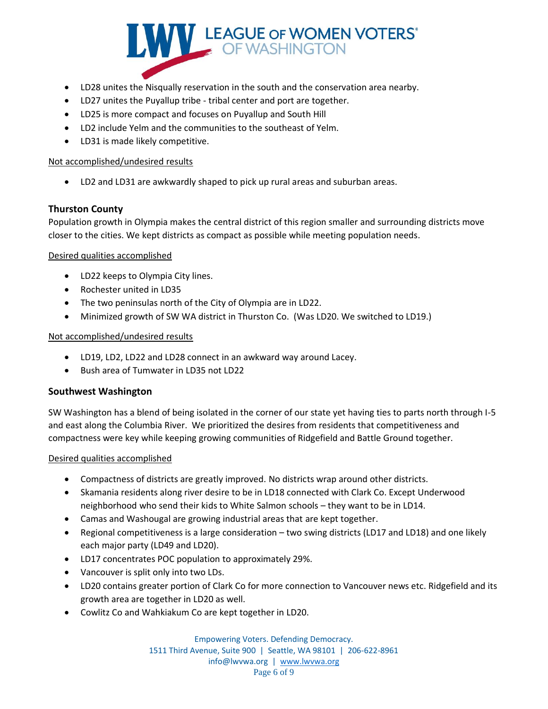

- LD28 unites the Nisqually reservation in the south and the conservation area nearby.
- LD27 unites the Puyallup tribe tribal center and port are together.
- LD25 is more compact and focuses on Puyallup and South Hill
- LD2 include Yelm and the communities to the southeast of Yelm.
- LD31 is made likely competitive.

• LD2 and LD31 are awkwardly shaped to pick up rural areas and suburban areas.

# **Thurston County**

Population growth in Olympia makes the central district of this region smaller and surrounding districts move closer to the cities. We kept districts as compact as possible while meeting population needs.

# Desired qualities accomplished

- LD22 keeps to Olympia City lines.
- Rochester united in LD35
- The two peninsulas north of the City of Olympia are in LD22.
- Minimized growth of SW WA district in Thurston Co. (Was LD20. We switched to LD19.)

# Not accomplished/undesired results

- LD19, LD2, LD22 and LD28 connect in an awkward way around Lacey.
- Bush area of Tumwater in LD35 not LD22

# **Southwest Washington**

SW Washington has a blend of being isolated in the corner of our state yet having ties to parts north through I-5 and east along the Columbia River. We prioritized the desires from residents that competitiveness and compactness were key while keeping growing communities of Ridgefield and Battle Ground together.

## Desired qualities accomplished

- Compactness of districts are greatly improved. No districts wrap around other districts.
- Skamania residents along river desire to be in LD18 connected with Clark Co. Except Underwood neighborhood who send their kids to White Salmon schools – they want to be in LD14.
- Camas and Washougal are growing industrial areas that are kept together.
- Regional competitiveness is a large consideration two swing districts (LD17 and LD18) and one likely each major party (LD49 and LD20).
- LD17 concentrates POC population to approximately 29%.
- Vancouver is split only into two LDs.
- LD20 contains greater portion of Clark Co for more connection to Vancouver news etc. Ridgefield and its growth area are together in LD20 as well.
- Cowlitz Co and Wahkiakum Co are kept together in LD20.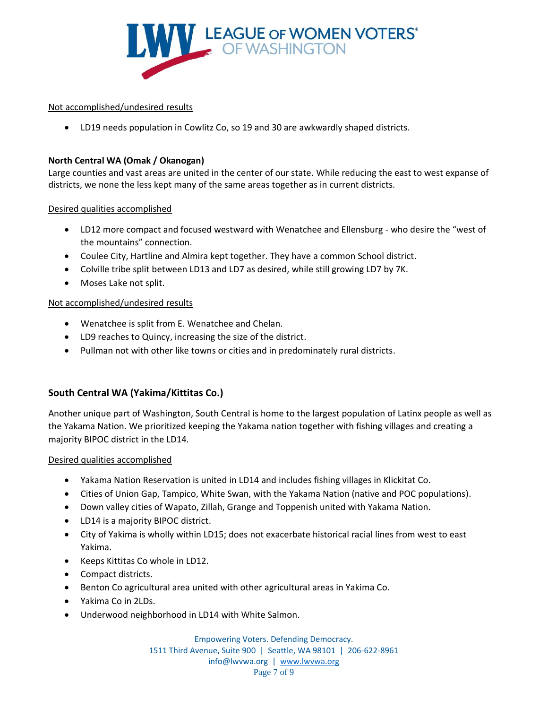

• LD19 needs population in Cowlitz Co, so 19 and 30 are awkwardly shaped districts.

# **North Central WA (Omak / Okanogan)**

Large counties and vast areas are united in the center of our state. While reducing the east to west expanse of districts, we none the less kept many of the same areas together as in current districts.

Desired qualities accomplished

- LD12 more compact and focused westward with Wenatchee and Ellensburg who desire the "west of the mountains" connection.
- Coulee City, Hartline and Almira kept together. They have a common School district.
- Colville tribe split between LD13 and LD7 as desired, while still growing LD7 by 7K.
- Moses Lake not split.

# Not accomplished/undesired results

- Wenatchee is split from E. Wenatchee and Chelan.
- LD9 reaches to Quincy, increasing the size of the district.
- Pullman not with other like towns or cities and in predominately rural districts.

# **South Central WA (Yakima/Kittitas Co.)**

Another unique part of Washington, South Central is home to the largest population of Latinx people as well as the Yakama Nation. We prioritized keeping the Yakama nation together with fishing villages and creating a majority BIPOC district in the LD14.

## Desired qualities accomplished

- Yakama Nation Reservation is united in LD14 and includes fishing villages in Klickitat Co.
- Cities of Union Gap, Tampico, White Swan, with the Yakama Nation (native and POC populations).
- Down valley cities of Wapato, Zillah, Grange and Toppenish united with Yakama Nation.
- LD14 is a majority BIPOC district.
- City of Yakima is wholly within LD15; does not exacerbate historical racial lines from west to east Yakima.
- Keeps Kittitas Co whole in LD12.
- Compact districts.
- Benton Co agricultural area united with other agricultural areas in Yakima Co.
- Yakima Co in 2LDs.
- Underwood neighborhood in LD14 with White Salmon.

Empowering Voters. Defending Democracy. 1511 Third Avenue, Suite 900 | Seattle, WA 98101 | 206-622-8961 info@lwvwa.org | [www.lwvwa.org](http://www.lwvwa.org/) Page 7 of 9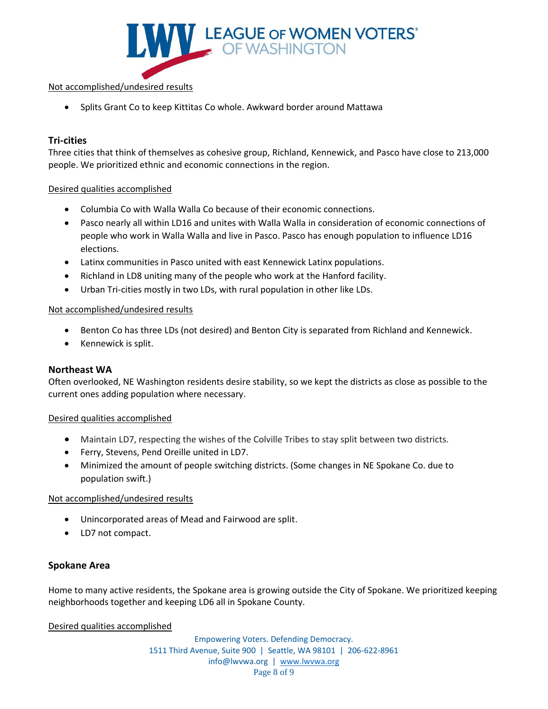

• Splits Grant Co to keep Kittitas Co whole. Awkward border around Mattawa

# **Tri-cities**

Three cities that think of themselves as cohesive group, Richland, Kennewick, and Pasco have close to 213,000 people. We prioritized ethnic and economic connections in the region.

## Desired qualities accomplished

- Columbia Co with Walla Walla Co because of their economic connections.
- Pasco nearly all within LD16 and unites with Walla Walla in consideration of economic connections of people who work in Walla Walla and live in Pasco. Pasco has enough population to influence LD16 elections.
- Latinx communities in Pasco united with east Kennewick Latinx populations.
- Richland in LD8 uniting many of the people who work at the Hanford facility.
- Urban Tri-cities mostly in two LDs, with rural population in other like LDs.

## Not accomplished/undesired results

- Benton Co has three LDs (not desired) and Benton City is separated from Richland and Kennewick.
- Kennewick is split.

## **Northeast WA**

Often overlooked, NE Washington residents desire stability, so we kept the districts as close as possible to the current ones adding population where necessary.

## Desired qualities accomplished

- Maintain LD7, respecting the wishes of the Colville Tribes to stay split between two districts.
- Ferry, Stevens, Pend Oreille united in LD7.
- Minimized the amount of people switching districts. (Some changes in NE Spokane Co. due to population swift.)

## Not accomplished/undesired results

- Unincorporated areas of Mead and Fairwood are split.
- LD7 not compact.

## **Spokane Area**

Home to many active residents, the Spokane area is growing outside the City of Spokane. We prioritized keeping neighborhoods together and keeping LD6 all in Spokane County.

Desired qualities accomplished